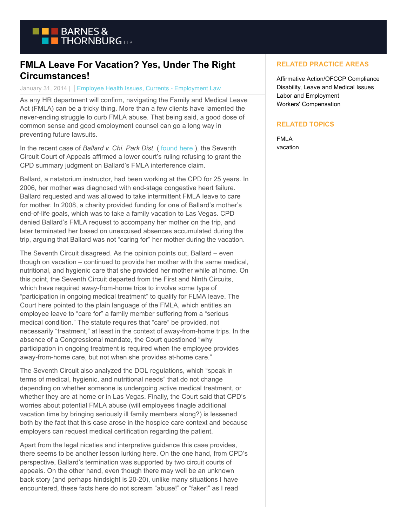

## **FMLA Leave For Vacation? Yes, Under The Right Circumstances!**

## January 31, 2014 | Employee Health Issues, Currents - Employment Law

As any HR department will confirm, navigating the Family and Medical Leave Act (FMLA) can be a tricky thing. More than a few clients have lamented the never-ending struggle to curb FMLA abuse. That being said, a good dose of common sense and good employment counsel can go a long way in preventing future lawsuits.

In the recent case of *Ballard v. Chi. Park Dist*. [\( found here](http://hr.cch.com/ELD/BallardChicago.pdf) ), the Seventh Circuit Court of Appeals affirmed a lower court's ruling refusing to grant the CPD summary judgment on Ballard's FMLA interference claim.

Ballard, a natatorium instructor, had been working at the CPD for 25 years. In 2006, her mother was diagnosed with end-stage congestive heart failure. Ballard requested and was allowed to take intermittent FMLA leave to care for mother. In 2008, a charity provided funding for one of Ballard's mother's end-of-life goals, which was to take a family vacation to Las Vegas. CPD denied Ballard's FMLA request to accompany her mother on the trip, and later terminated her based on unexcused absences accumulated during the trip, arguing that Ballard was not "caring for" her mother during the vacation.

The Seventh Circuit disagreed. As the opinion points out, Ballard – even though on vacation – continued to provide her mother with the same medical, nutritional, and hygienic care that she provided her mother while at home. On this point, the Seventh Circuit departed from the First and Ninth Circuits, which have required away-from-home trips to involve some type of "participation in ongoing medical treatment" to qualify for FLMA leave. The Court here pointed to the plain language of the FMLA, which entitles an employee leave to "care for" a family member suffering from a "serious medical condition." The statute requires that "care" be provided, not necessarily "treatment," at least in the context of away-from-home trips. In the absence of a Congressional mandate, the Court questioned "why participation in ongoing treatment is required when the employee provides away-from-home care, but not when she provides at-home care."

The Seventh Circuit also analyzed the DOL regulations, which "speak in terms of medical, hygienic, and nutritional needs" that do not change depending on whether someone is undergoing active medical treatment, or whether they are at home or in Las Vegas. Finally, the Court said that CPD's worries about potential FMLA abuse (will employees finagle additional vacation time by bringing seriously ill family members along?) is lessened both by the fact that this case arose in the hospice care context and because employers can request medical certification regarding the patient.

Apart from the legal niceties and interpretive guidance this case provides, there seems to be another lesson lurking here. On the one hand, from CPD's perspective, Ballard's termination was supported by two circuit courts of appeals. On the other hand, even though there may well be an unknown back story (and perhaps hindsight is 20-20), unlike many situations I have encountered, these facts here do not scream "abuse!" or "faker!" as I read

## **RELATED PRACTICE AREAS**

Affirmative Action/OFCCP Compliance Disability, Leave and Medical Issues Labor and Employment Workers' Compensation

## **RELATED TOPICS**

FMLA vacation